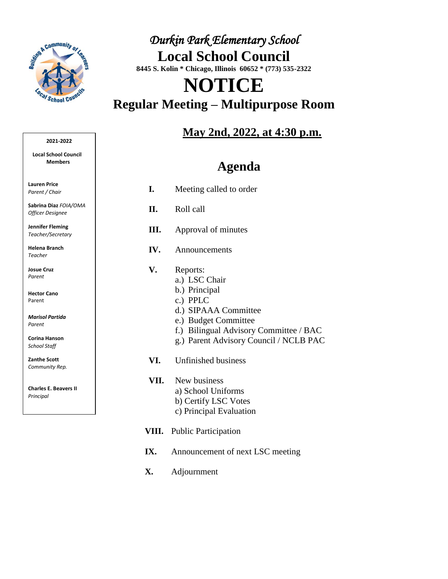

## *Durkin Park Elementary School*  **Local School Council 8445 S. Kolin \* Chicago, Illinois 60652 \* (773) 535-2322**

## **NOTICE Regular Meeting – Multipurpose Room**

## **May 2nd, 2022, at 4:30 p.m.**

## **Agenda**

- **I.** Meeting called to order
- **II.** Roll call
- **III.** Approval of minutes
- **IV.** Announcements
- **V.** Reports:
	- a.) LSC Chair
	- b.) Principal
	- c.) PPLC
	- d.) SIPAAA Committee
	- e.) Budget Committee
	- f.) Bilingual Advisory Committee / BAC
	- g.) Parent Advisory Council / NCLB PAC
- **VI.** Unfinished business
- **VII.** New business a) School Uniforms b) Certify LSC Votes c) Principal Evaluation
- **VIII.** Public Participation
- **IX.** Announcement of next LSC meeting
- **X.** Adjournment

#### **2021-2022**

**Local School Council Members** 

**Lauren Price** *Parent / Chair*

**Sabrina Diaz** *FOIA/OMA Officer Designee*

**Jennifer Fleming** *Teacher/Secretary*

**Helena Branch**  *Teacher*

**Josue Cruz**  *Parent*

**Hector Cano** Parent

*Marisol Partida Parent*

**Corina Hanson** *School Staff*

**Zanthe Scott**  *Community Rep.*

**Charles E. Beavers II** *Principal*